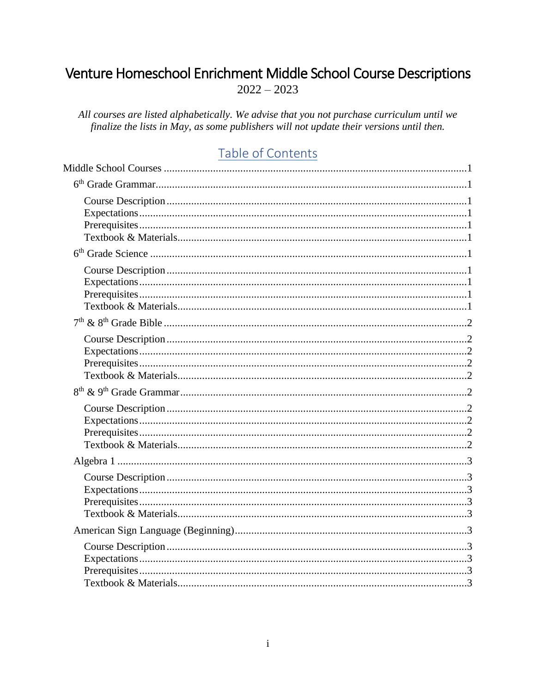# <span id="page-0-0"></span>Venture Homeschool Enrichment Middle School Course Descriptions  $2022 - 2023$

All courses are listed alphabetically. We advise that you not purchase curriculum until we finalize the lists in May, as some publishers will not update their versions until then.

# Table of Contents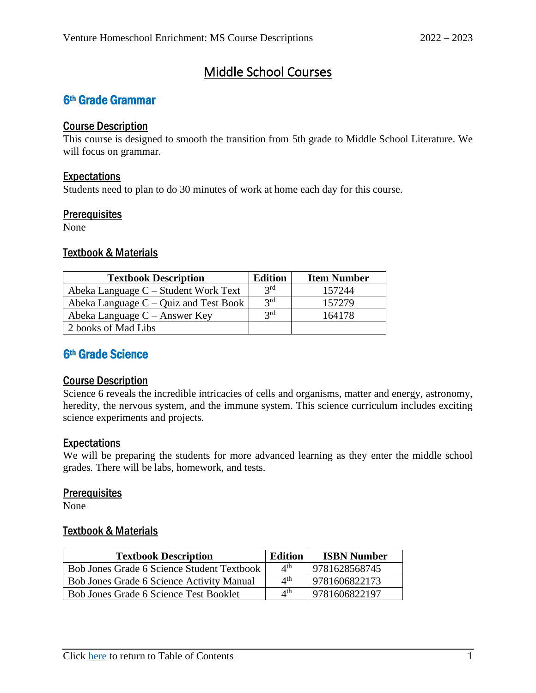# Middle School Courses

## <span id="page-4-1"></span><span id="page-4-0"></span>6th Grade Grammar

#### <span id="page-4-2"></span>Course Description

This course is designed to smooth the transition from 5th grade to Middle School Literature. We will focus on grammar.

#### <span id="page-4-3"></span>Expectations

Students need to plan to do 30 minutes of work at home each day for this course.

#### <span id="page-4-4"></span>**Prerequisites**

None

#### <span id="page-4-5"></span>Textbook & Materials

| <b>Textbook Description</b>             | <b>Edition</b> | <b>Item Number</b> |
|-----------------------------------------|----------------|--------------------|
| Abeka Language $C -$ Student Work Text  | 2rd            | 157244             |
| Abeka Language $C -$ Quiz and Test Book | 2rd            | 157279             |
| Abeka Language $C -$ Answer Key         | 2rd            | 164178             |
| 2 books of Mad Libs                     |                |                    |

## <span id="page-4-6"></span>6th Grade Science

#### <span id="page-4-7"></span>Course Description

Science 6 reveals the incredible intricacies of cells and organisms, matter and energy, astronomy, heredity, the nervous system, and the immune system. This science curriculum includes exciting science experiments and projects.

#### <span id="page-4-8"></span>**Expectations**

We will be preparing the students for more advanced learning as they enter the middle school grades. There will be labs, homework, and tests.

#### <span id="page-4-9"></span>**Prerequisites**

<span id="page-4-10"></span>None

| <b>Textbook Description</b>                | <b>Edition</b>            | <b>ISBN Number</b> |
|--------------------------------------------|---------------------------|--------------------|
| Bob Jones Grade 6 Science Student Textbook | $\varDelta$ <sup>th</sup> | 9781628568745      |
| Bob Jones Grade 6 Science Activity Manual  | $\varDelta$ <sup>th</sup> | 9781606822173      |
| Bob Jones Grade 6 Science Test Booklet     | $\Lambda^{\text{th}}$     | 9781606822197      |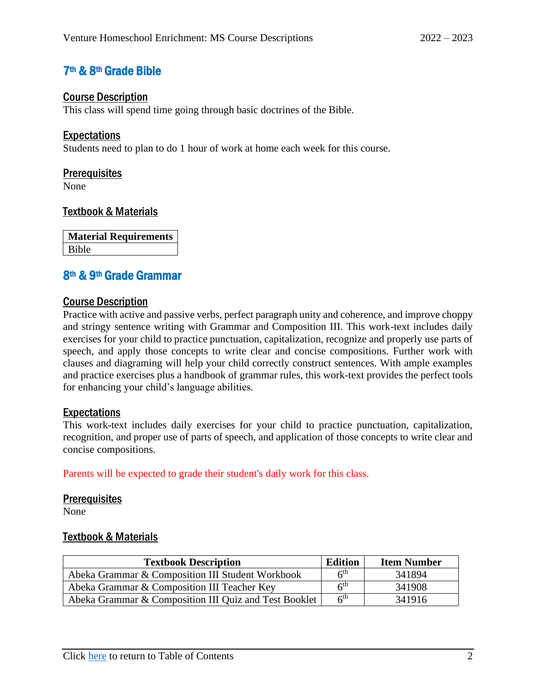## <span id="page-5-0"></span>7th & 8th Grade Bible

#### <span id="page-5-1"></span>Course Description

This class will spend time going through basic doctrines of the Bible.

#### <span id="page-5-2"></span>**Expectations**

Students need to plan to do 1 hour of work at home each week for this course.

#### <span id="page-5-3"></span>**Prerequisites**

None

#### <span id="page-5-4"></span>Textbook & Materials

**Material Requirements** Bible

### <span id="page-5-5"></span>8th & 9th Grade Grammar

#### <span id="page-5-6"></span>Course Description

Practice with active and passive verbs, perfect paragraph unity and coherence, and improve choppy and stringy sentence writing with Grammar and Composition III. This work-text includes daily exercises for your child to practice punctuation, capitalization, recognize and properly use parts of speech, and apply those concepts to write clear and concise compositions. Further work with clauses and diagraming will help your child correctly construct sentences. With ample examples and practice exercises plus a handbook of grammar rules, this work-text provides the perfect tools for enhancing your child's language abilities.

#### <span id="page-5-7"></span>Expectations

This work-text includes daily exercises for your child to practice punctuation, capitalization, recognition, and proper use of parts of speech, and application of those concepts to write clear and concise compositions.

Parents will be expected to grade their student's daily work for this class.

#### <span id="page-5-8"></span>**Prerequisites**

<span id="page-5-9"></span>None

| <b>Edition</b><br><b>Textbook Description</b>         |                 | <b>Item Number</b> |
|-------------------------------------------------------|-----------------|--------------------|
| Abeka Grammar & Composition III Student Workbook      | 6 <sup>th</sup> | 341894             |
| Abeka Grammar & Composition III Teacher Key           | 6 <sup>th</sup> | 341908             |
| Abeka Grammar & Composition III Quiz and Test Booklet | 6 <sup>th</sup> | 341916             |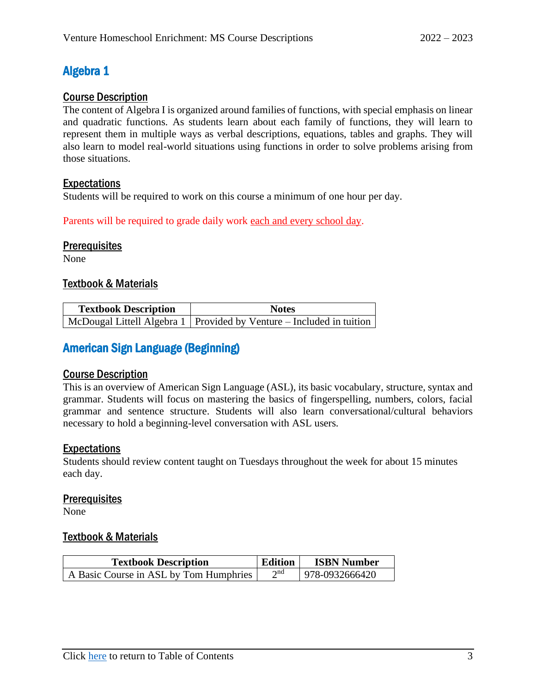## <span id="page-6-0"></span>Algebra 1

### <span id="page-6-1"></span>Course Description

The content of Algebra I is organized around families of functions, with special emphasis on linear and quadratic functions. As students learn about each family of functions, they will learn to represent them in multiple ways as verbal descriptions, equations, tables and graphs. They will also learn to model real-world situations using functions in order to solve problems arising from those situations.

### <span id="page-6-2"></span>Expectations

Students will be required to work on this course a minimum of one hour per day.

Parents will be required to grade daily work each and every school day.

### <span id="page-6-3"></span>**Prerequisites**

None

#### <span id="page-6-4"></span>Textbook & Materials

| <b>Textbook Description</b> | <b>Notes</b>                                                           |  |
|-----------------------------|------------------------------------------------------------------------|--|
|                             | McDougal Littell Algebra 1   Provided by Venture – Included in tuition |  |

## <span id="page-6-5"></span>American Sign Language (Beginning)

### <span id="page-6-6"></span>Course Description

This is an overview of American Sign Language (ASL), its basic vocabulary, structure, syntax and grammar. Students will focus on mastering the basics of fingerspelling, numbers, colors, facial grammar and sentence structure. Students will also learn conversational/cultural behaviors necessary to hold a beginning-level conversation with ASL users.

### <span id="page-6-7"></span>Expectations

Students should review content taught on Tuesdays throughout the week for about 15 minutes each day.

### <span id="page-6-8"></span>**Prerequisites**

<span id="page-6-9"></span>None

| <b>Textbook Description</b>            | <b>Edition</b>           | <b>ISBN Number</b> |
|----------------------------------------|--------------------------|--------------------|
| A Basic Course in ASL by Tom Humphries | $\boldsymbol{\gamma}$ nd | 978-0932666420     |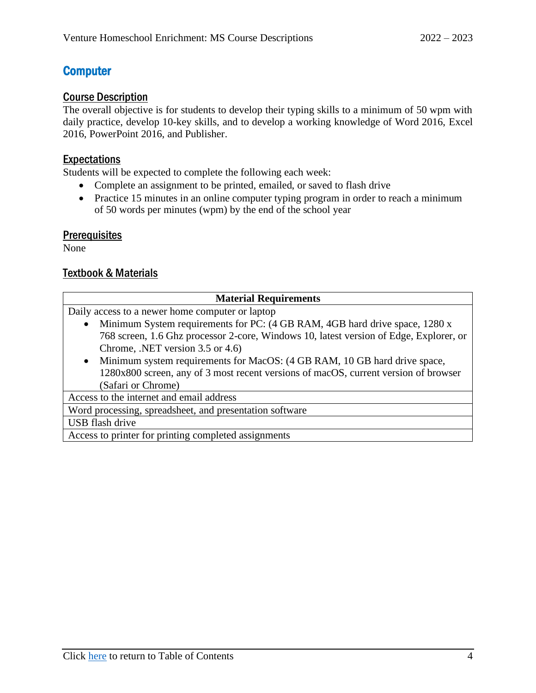## <span id="page-7-0"></span>**Computer**

#### <span id="page-7-1"></span>Course Description

The overall objective is for students to develop their typing skills to a minimum of 50 wpm with daily practice, develop 10-key skills, and to develop a working knowledge of Word 2016, Excel 2016, PowerPoint 2016, and Publisher.

### <span id="page-7-2"></span>Expectations

Students will be expected to complete the following each week:

- Complete an assignment to be printed, emailed, or saved to flash drive
- Practice 15 minutes in an online computer typing program in order to reach a minimum of 50 words per minutes (wpm) by the end of the school year

### <span id="page-7-3"></span>**Prerequisites**

None

<span id="page-7-4"></span>

| <b>Material Requirements</b>                                                             |  |  |  |
|------------------------------------------------------------------------------------------|--|--|--|
| Daily access to a newer home computer or laptop                                          |  |  |  |
| Minimum System requirements for PC: (4 GB RAM, 4GB hard drive space, 1280 x<br>$\bullet$ |  |  |  |
| 768 screen, 1.6 Ghz processor 2-core, Windows 10, latest version of Edge, Explorer, or   |  |  |  |
| Chrome, .NET version 3.5 or 4.6)                                                         |  |  |  |
| Minimum system requirements for MacOS: (4 GB RAM, 10 GB hard drive space,<br>$\bullet$   |  |  |  |
| 1280x800 screen, any of 3 most recent versions of macOS, current version of browser      |  |  |  |
| (Safari or Chrome)                                                                       |  |  |  |
| Access to the internet and email address                                                 |  |  |  |
| Word processing, spreadsheet, and presentation software                                  |  |  |  |
| USB flash drive                                                                          |  |  |  |
| Access to printer for printing completed assignments                                     |  |  |  |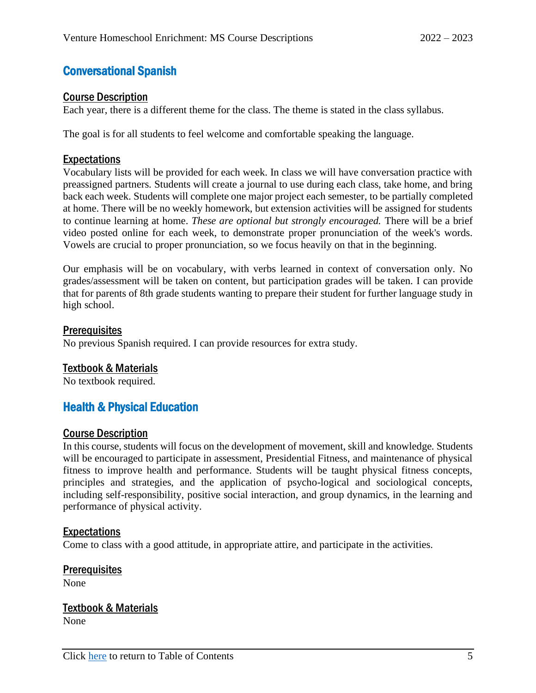## <span id="page-8-0"></span>Conversational Spanish

#### <span id="page-8-1"></span>Course Description

Each year, there is a different theme for the class. The theme is stated in the class syllabus.

The goal is for all students to feel welcome and comfortable speaking the language.

#### <span id="page-8-2"></span>Expectations

Vocabulary lists will be provided for each week. In class we will have conversation practice with preassigned partners. Students will create a journal to use during each class, take home, and bring back each week. Students will complete one major project each semester, to be partially completed at home. There will be no weekly homework, but extension activities will be assigned for students to continue learning at home. *These are optional but strongly encouraged.* There will be a brief video posted online for each week, to demonstrate proper pronunciation of the week's words. Vowels are crucial to proper pronunciation, so we focus heavily on that in the beginning.

Our emphasis will be on vocabulary, with verbs learned in context of conversation only. No grades/assessment will be taken on content, but participation grades will be taken. I can provide that for parents of 8th grade students wanting to prepare their student for further language study in high school.

#### <span id="page-8-3"></span>**Prerequisites**

No previous Spanish required. I can provide resources for extra study.

#### <span id="page-8-4"></span>Textbook & Materials

No textbook required.

## <span id="page-8-5"></span>Health & Physical Education

#### <span id="page-8-6"></span>Course Description

In this course, students will focus on the development of movement, skill and knowledge. Students will be encouraged to participate in assessment, Presidential Fitness, and maintenance of physical fitness to improve health and performance. Students will be taught physical fitness concepts, principles and strategies, and the application of psycho-logical and sociological concepts, including self-responsibility, positive social interaction, and group dynamics, in the learning and performance of physical activity.

#### <span id="page-8-7"></span>Expectations

Come to class with a good attitude, in appropriate attire, and participate in the activities.

## <span id="page-8-8"></span>**Prerequisites**

<span id="page-8-9"></span>None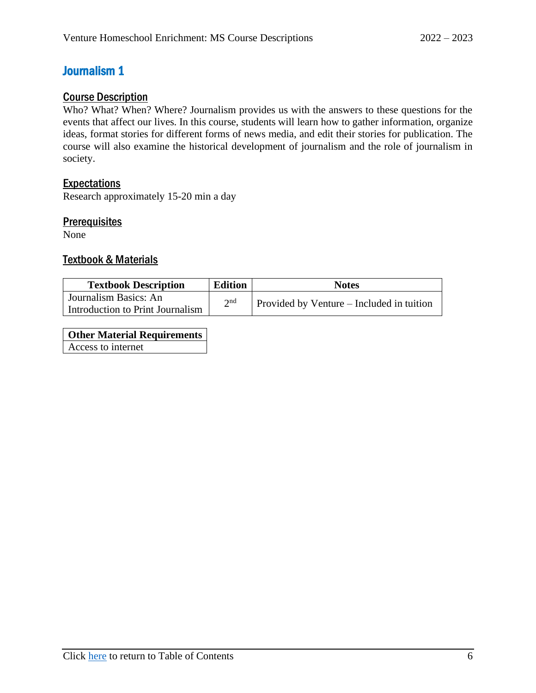## <span id="page-9-0"></span>Journalism 1

### <span id="page-9-1"></span>Course Description

Who? What? When? Where? Journalism provides us with the answers to these questions for the events that affect our lives. In this course, students will learn how to gather information, organize ideas, format stories for different forms of news media, and edit their stories for publication. The course will also examine the historical development of journalism and the role of journalism in society.

### <span id="page-9-2"></span>Expectations

Research approximately 15-20 min a day

#### <span id="page-9-3"></span>**Prerequisites**

None

#### <span id="page-9-4"></span>Textbook & Materials

| <b>Textbook Description</b>      | <b>Edition</b> | <b>Notes</b>                              |
|----------------------------------|----------------|-------------------------------------------|
| Journalism Basics: An            | $\gamma$ nd    | Provided by Venture – Included in tuition |
| Introduction to Print Journalism |                |                                           |

**Other Material Requirements** Access to internet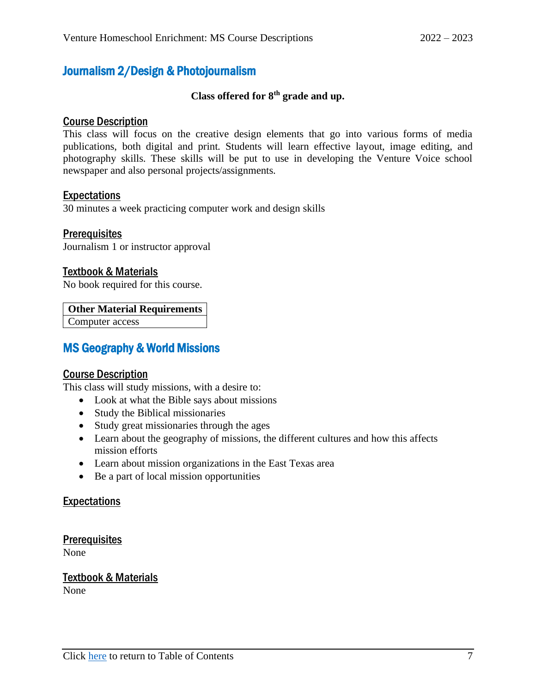## <span id="page-10-0"></span>Journalism 2/Design & Photojournalism

### **Class offered for 8th grade and up.**

#### <span id="page-10-1"></span>Course Description

This class will focus on the creative design elements that go into various forms of media publications, both digital and print. Students will learn effective layout, image editing, and photography skills. These skills will be put to use in developing the Venture Voice school newspaper and also personal projects/assignments.

#### <span id="page-10-2"></span>Expectations

30 minutes a week practicing computer work and design skills

#### <span id="page-10-3"></span>**Prerequisites**

Journalism 1 or instructor approval

#### <span id="page-10-4"></span>Textbook & Materials

No book required for this course.

#### **Other Material Requirements**

Computer access

## <span id="page-10-5"></span>MS Geography & World Missions

#### <span id="page-10-6"></span>Course Description

This class will study missions, with a desire to:

- Look at what the Bible says about missions
- Study the Biblical missionaries
- Study great missionaries through the ages
- Learn about the geography of missions, the different cultures and how this affects mission efforts
- Learn about mission organizations in the East Texas area
- Be a part of local mission opportunities

#### <span id="page-10-7"></span>Expectations

<span id="page-10-8"></span>**Prerequisites** 

None

#### <span id="page-10-9"></span>Textbook & Materials

None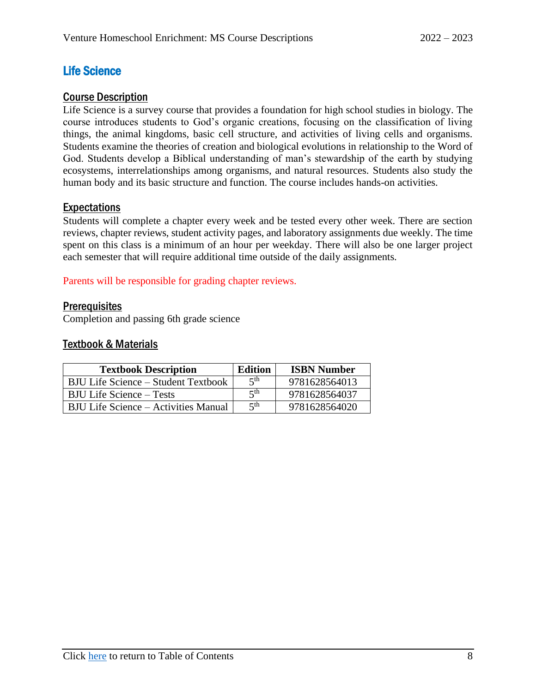## <span id="page-11-0"></span>Life Science

#### <span id="page-11-1"></span>Course Description

Life Science is a survey course that provides a foundation for high school studies in biology. The course introduces students to God's organic creations, focusing on the classification of living things, the animal kingdoms, basic cell structure, and activities of living cells and organisms. Students examine the theories of creation and biological evolutions in relationship to the Word of God. Students develop a Biblical understanding of man's stewardship of the earth by studying ecosystems, interrelationships among organisms, and natural resources. Students also study the human body and its basic structure and function. The course includes hands-on activities.

#### <span id="page-11-2"></span>**Expectations**

Students will complete a chapter every week and be tested every other week. There are section reviews, chapter reviews, student activity pages, and laboratory assignments due weekly. The time spent on this class is a minimum of an hour per weekday. There will also be one larger project each semester that will require additional time outside of the daily assignments.

Parents will be responsible for grading chapter reviews.

#### <span id="page-11-3"></span>**Prerequisites**

<span id="page-11-4"></span>Completion and passing 6th grade science

| <b>Textbook Description</b>          | <b>Edition</b>  | <b>ISBN Number</b> |
|--------------------------------------|-----------------|--------------------|
| BJU Life Science – Student Textbook  | 5 <sup>th</sup> | 9781628564013      |
| <b>BJU Life Science – Tests</b>      | 5 <sup>th</sup> | 9781628564037      |
| BJU Life Science – Activities Manual | 5 <sup>th</sup> | 9781628564020      |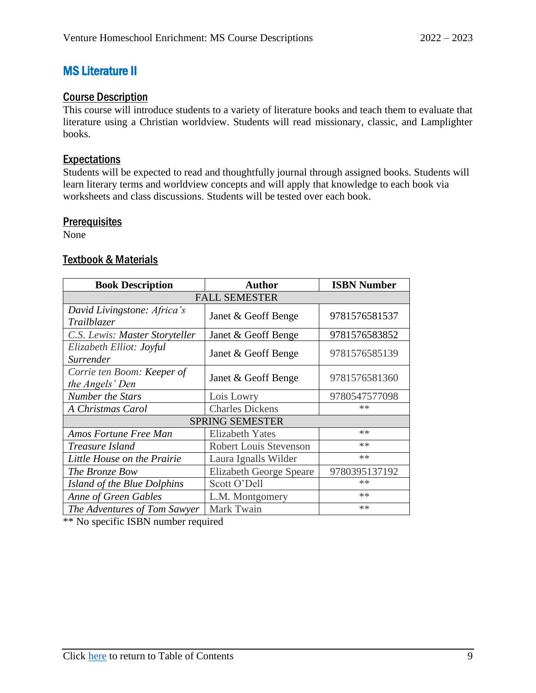## <span id="page-12-0"></span>MS Literature II

### <span id="page-12-1"></span>Course Description

This course will introduce students to a variety of literature books and teach them to evaluate that literature using a Christian worldview. Students will read missionary, classic, and Lamplighter books.

#### <span id="page-12-2"></span>Expectations

Students will be expected to read and thoughtfully journal through assigned books. Students will learn literary terms and worldview concepts and will apply that knowledge to each book via worksheets and class discussions. Students will be tested over each book.

#### <span id="page-12-3"></span>**Prerequisites**

None

#### <span id="page-12-4"></span>Textbook & Materials

| <b>Book Description</b>                           | <b>Author</b>                  | <b>ISBN Number</b> |  |
|---------------------------------------------------|--------------------------------|--------------------|--|
| <b>FALL SEMESTER</b>                              |                                |                    |  |
| David Livingstone: Africa's<br><i>Trailblazer</i> | Janet & Geoff Benge            | 9781576581537      |  |
| C.S. Lewis: Master Storyteller                    | Janet & Geoff Benge            | 9781576583852      |  |
| Elizabeth Elliot: Joyful<br>Surrender             | Janet & Geoff Benge            | 9781576585139      |  |
| Corrie ten Boom: Keeper of<br>the Angels' Den     | Janet & Geoff Benge            | 9781576581360      |  |
| <b>Number the Stars</b>                           | Lois Lowry                     | 9780547577098      |  |
| A Christmas Carol                                 | <b>Charles Dickens</b>         | $**$               |  |
|                                                   | <b>SPRING SEMESTER</b>         |                    |  |
| Amos Fortune Free Man<br><b>Elizabeth Yates</b>   |                                | $**$               |  |
| Treasure Island                                   | <b>Robert Louis Stevenson</b>  | $**$               |  |
| Little House on the Prairie                       | Laura Ignalls Wilder           | $**$               |  |
| The Bronze Bow                                    | <b>Elizabeth George Speare</b> | 9780395137192      |  |
| Island of the Blue Dolphins                       | Scott O'Dell                   | $**$               |  |
| <b>Anne of Green Gables</b>                       | L.M. Montgomery                | $**$               |  |
| The Adventures of Tom Sawyer                      | Mark Twain                     | $**$               |  |

\*\* No specific ISBN number required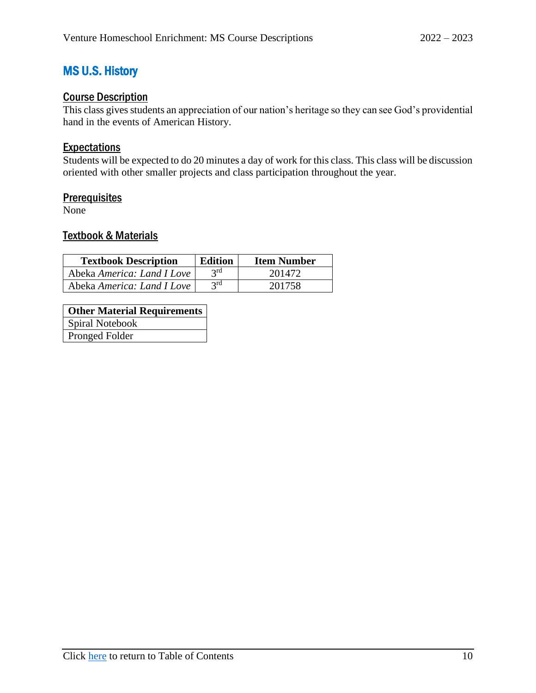## <span id="page-13-0"></span>MS U.S. History

## <span id="page-13-1"></span>Course Description

This class gives students an appreciation of our nation's heritage so they can see God's providential hand in the events of American History.

#### <span id="page-13-2"></span>**Expectations**

Students will be expected to do 20 minutes a day of work for this class. This class will be discussion oriented with other smaller projects and class participation throughout the year.

#### <span id="page-13-3"></span>**Prerequisites**

<span id="page-13-4"></span>None

| <b>Textbook Description</b> | <b>Edition</b> | <b>Item Number</b> |
|-----------------------------|----------------|--------------------|
| Abeka America: Land I Love  | $2^{rd}$       | 201472             |
| Abeka America: Land I Love  | 2rd            | 201758             |

| <b>Other Material Requirements</b> |
|------------------------------------|
| Spiral Notebook                    |
| Pronged Folder                     |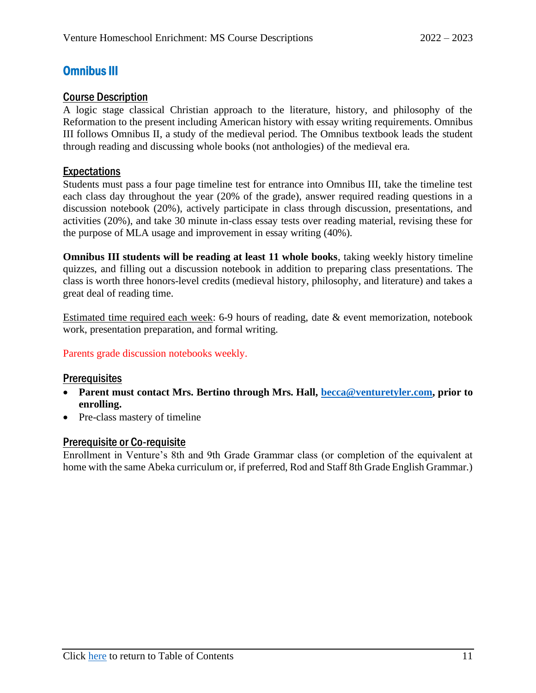## <span id="page-14-0"></span>Omnibus III

#### <span id="page-14-1"></span>Course Description

A logic stage classical Christian approach to the literature, history, and philosophy of the Reformation to the present including American history with essay writing requirements. Omnibus III follows Omnibus II, a study of the medieval period. The Omnibus textbook leads the student through reading and discussing whole books (not anthologies) of the medieval era.

#### <span id="page-14-2"></span>**Expectations**

Students must pass a four page timeline test for entrance into Omnibus III, take the timeline test each class day throughout the year (20% of the grade), answer required reading questions in a discussion notebook (20%), actively participate in class through discussion, presentations, and activities (20%), and take 30 minute in-class essay tests over reading material, revising these for the purpose of MLA usage and improvement in essay writing (40%).

**Omnibus III students will be reading at least 11 whole books**, taking weekly history timeline quizzes, and filling out a discussion notebook in addition to preparing class presentations. The class is worth three honors-level credits (medieval history, philosophy, and literature) and takes a great deal of reading time.

Estimated time required each week: 6-9 hours of reading, date & event memorization, notebook work, presentation preparation, and formal writing.

#### Parents grade discussion notebooks weekly.

#### <span id="page-14-3"></span>**Prerequisites**

- **Parent must contact Mrs. Bertino through Mrs. Hall, [becca@venturetyler.com,](mailto:becca@venturetyler.com) prior to enrolling.**
- Pre-class mastery of timeline

#### <span id="page-14-4"></span>Prerequisite or Co-requisite

Enrollment in Venture's 8th and 9th Grade Grammar class (or completion of the equivalent at home with the same Abeka curriculum or, if preferred, Rod and Staff 8th Grade English Grammar.)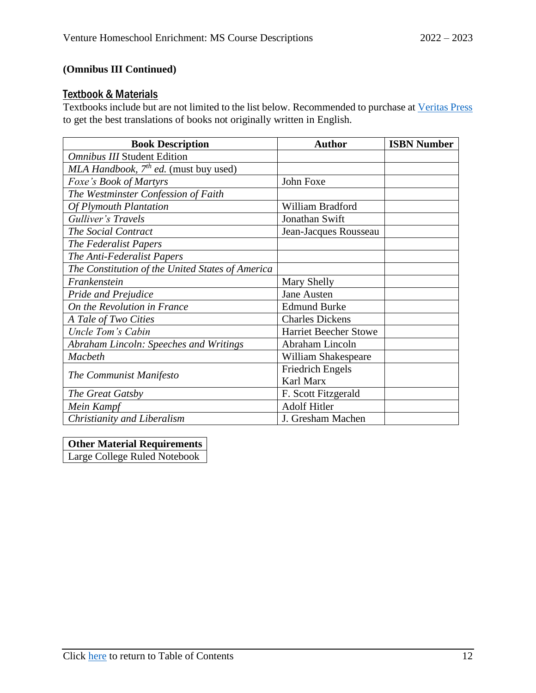### **(Omnibus III Continued)**

#### <span id="page-15-0"></span>**Textbook & Materials**

Textbooks include but are not limited to the list below. Recommended to purchase at [Veritas Press](https://veritaspress.com/) to get the best translations of books not originally written in English.

| <b>Book Description</b>                          | <b>Author</b>                | <b>ISBN Number</b> |
|--------------------------------------------------|------------------------------|--------------------|
| <b>Omnibus III Student Edition</b>               |                              |                    |
| MLA Handbook, $7^{th}$ ed. (must buy used)       |                              |                    |
| <i>Foxe's Book of Martyrs</i>                    | John Foxe                    |                    |
| The Westminster Confession of Faith              |                              |                    |
| <b>Of Plymouth Plantation</b>                    | William Bradford             |                    |
| Gulliver's Travels                               | Jonathan Swift               |                    |
| The Social Contract                              | Jean-Jacques Rousseau        |                    |
| The Federalist Papers                            |                              |                    |
| The Anti-Federalist Papers                       |                              |                    |
| The Constitution of the United States of America |                              |                    |
| Frankenstein                                     | Mary Shelly                  |                    |
| <b>Pride and Prejudice</b>                       | <b>Jane Austen</b>           |                    |
| On the Revolution in France                      | <b>Edmund Burke</b>          |                    |
| A Tale of Two Cities                             | <b>Charles Dickens</b>       |                    |
| Uncle Tom's Cabin                                | <b>Harriet Beecher Stowe</b> |                    |
| Abraham Lincoln: Speeches and Writings           | Abraham Lincoln              |                    |
| <b>Macbeth</b>                                   | William Shakespeare          |                    |
|                                                  | <b>Friedrich Engels</b>      |                    |
| The Communist Manifesto                          | Karl Marx                    |                    |
| The Great Gatsby                                 | F. Scott Fitzgerald          |                    |
| Mein Kampf                                       | <b>Adolf Hitler</b>          |                    |
| Christianity and Liberalism                      | J. Gresham Machen            |                    |

#### **Other Material Requirements**

Large College Ruled Notebook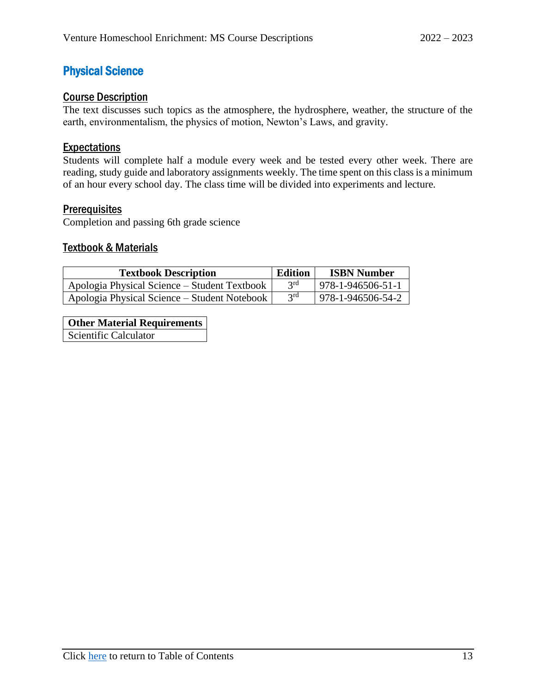## <span id="page-16-0"></span>Physical Science

#### <span id="page-16-1"></span>Course Description

The text discusses such topics as the atmosphere, the hydrosphere, weather, the structure of the earth, environmentalism, the physics of motion, Newton's Laws, and gravity.

#### <span id="page-16-2"></span>**Expectations**

Students will complete half a module every week and be tested every other week. There are reading, study guide and laboratory assignments weekly. The time spent on this class is a minimum of an hour every school day. The class time will be divided into experiments and lecture.

#### <span id="page-16-3"></span>**Prerequisites**

Completion and passing 6th grade science

#### <span id="page-16-4"></span>Textbook & Materials

| <b>Textbook Description</b>                  | Edition | <b>ISBN Number</b> |
|----------------------------------------------|---------|--------------------|
| Apologia Physical Science – Student Textbook | 2rd     | 978-1-946506-51-1  |
| Apologia Physical Science – Student Notebook | 2rd     | 978-1-946506-54-2  |

**Other Material Requirements**

Scientific Calculator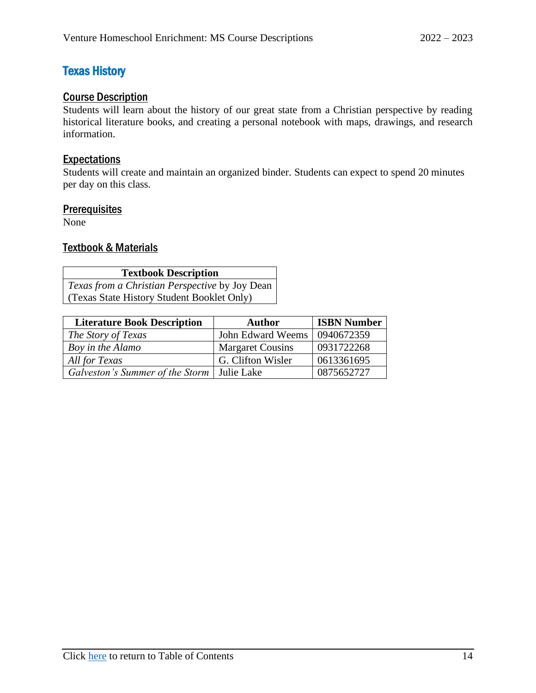## <span id="page-17-0"></span>Texas History

### <span id="page-17-1"></span>Course Description

Students will learn about the history of our great state from a Christian perspective by reading historical literature books, and creating a personal notebook with maps, drawings, and research information.

#### <span id="page-17-2"></span>Expectations

Students will create and maintain an organized binder. Students can expect to spend 20 minutes per day on this class.

#### <span id="page-17-3"></span>**Prerequisites**

<span id="page-17-4"></span>None

| <b>Textbook Description</b>                           |  |  |  |
|-------------------------------------------------------|--|--|--|
| <i>Texas from a Christian Perspective by Joy Dean</i> |  |  |  |
| (Texas State History Student Booklet Only)            |  |  |  |

| <b>Literature Book Description</b>           | <b>Author</b>           | <b>ISBN Number</b> |
|----------------------------------------------|-------------------------|--------------------|
| The Story of Texas                           | John Edward Weems       | 0940672359         |
| Boy in the Alamo                             | <b>Margaret Cousins</b> | 0931722268         |
| All for Texas                                | G. Clifton Wisler       | 0613361695         |
| Galveston's Summer of the Storm   Julie Lake |                         | 0875652727         |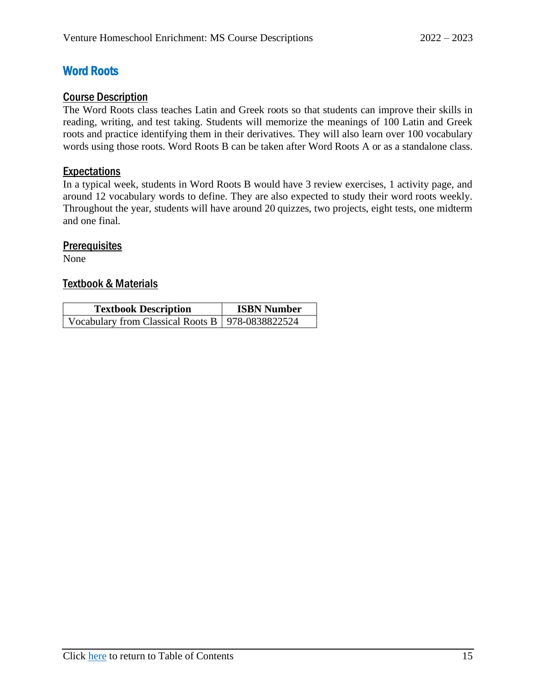## <span id="page-18-0"></span>Word Roots

#### <span id="page-18-1"></span>Course Description

The Word Roots class teaches Latin and Greek roots so that students can improve their skills in reading, writing, and test taking. Students will memorize the meanings of 100 Latin and Greek roots and practice identifying them in their derivatives. They will also learn over 100 vocabulary words using those roots. Word Roots B can be taken after Word Roots A or as a standalone class.

#### <span id="page-18-2"></span>**Expectations**

In a typical week, students in Word Roots B would have 3 review exercises, 1 activity page, and around 12 vocabulary words to define. They are also expected to study their word roots weekly. Throughout the year, students will have around 20 quizzes, two projects, eight tests, one midterm and one final.

#### <span id="page-18-3"></span>**Prerequisites**

<span id="page-18-4"></span>None

| <b>Textbook Description</b>                        | <b>ISBN Number</b> |  |
|----------------------------------------------------|--------------------|--|
| Vocabulary from Classical Roots B   978-0838822524 |                    |  |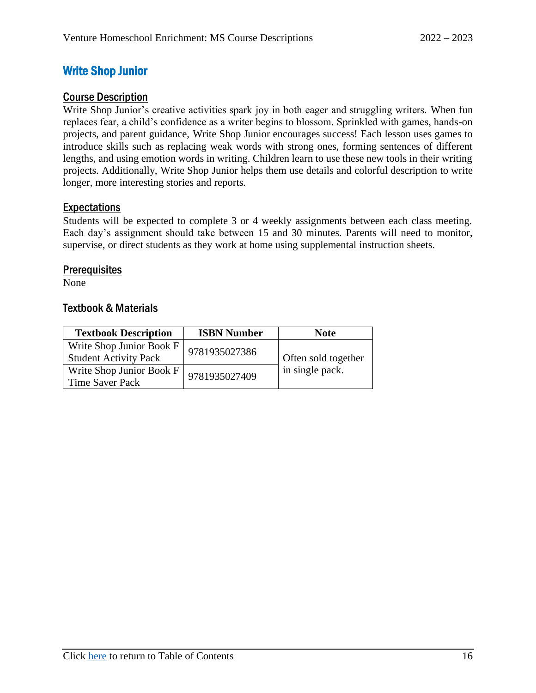## <span id="page-19-0"></span>Write Shop Junior

#### <span id="page-19-1"></span>Course Description

Write Shop Junior's creative activities spark joy in both eager and struggling writers. When fun replaces fear, a child's confidence as a writer begins to blossom. Sprinkled with games, hands-on projects, and parent guidance, Write Shop Junior encourages success! Each lesson uses games to introduce skills such as replacing weak words with strong ones, forming sentences of different lengths, and using emotion words in writing. Children learn to use these new tools in their writing projects. Additionally, Write Shop Junior helps them use details and colorful description to write longer, more interesting stories and reports.

#### <span id="page-19-2"></span>Expectations

Students will be expected to complete 3 or 4 weekly assignments between each class meeting. Each day's assignment should take between 15 and 30 minutes. Parents will need to monitor, supervise, or direct students as they work at home using supplemental instruction sheets.

#### <span id="page-19-3"></span>**Prerequisites**

<span id="page-19-4"></span>None

| <b>Textbook Description</b>                              | <b>ISBN Number</b> | <b>Note</b>         |
|----------------------------------------------------------|--------------------|---------------------|
| Write Shop Junior Book F<br><b>Student Activity Pack</b> | 9781935027386      | Often sold together |
| Write Shop Junior Book F<br>Time Saver Pack              | 9781935027409      | in single pack.     |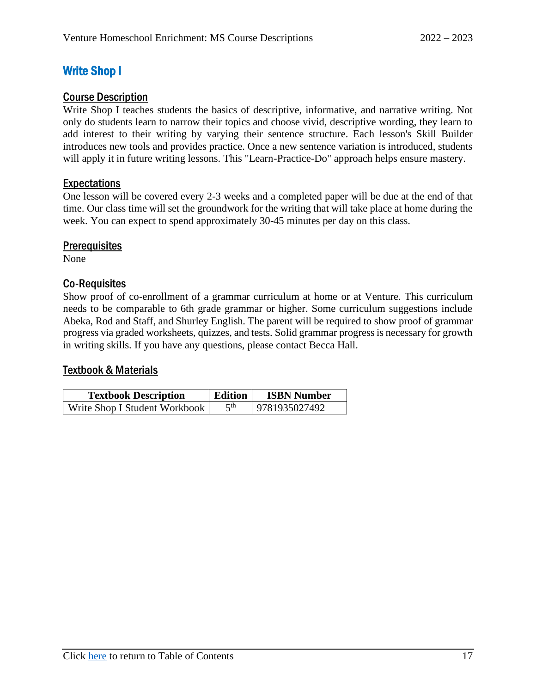## <span id="page-20-0"></span>Write Shop I

### <span id="page-20-1"></span>Course Description

Write Shop I teaches students the basics of descriptive, informative, and narrative writing. Not only do students learn to narrow their topics and choose vivid, descriptive wording, they learn to add interest to their writing by varying their sentence structure. Each lesson's Skill Builder introduces new tools and provides practice. Once a new sentence variation is introduced, students will apply it in future writing lessons. This "Learn-Practice-Do" approach helps ensure mastery.

### <span id="page-20-2"></span>Expectations

One lesson will be covered every 2-3 weeks and a completed paper will be due at the end of that time. Our class time will set the groundwork for the writing that will take place at home during the week. You can expect to spend approximately 30-45 minutes per day on this class.

### <span id="page-20-3"></span>**Prerequisites**

None

### <span id="page-20-4"></span>Co-Requisites

Show proof of co-enrollment of a grammar curriculum at home or at Venture. This curriculum needs to be comparable to 6th grade grammar or higher. Some curriculum suggestions include Abeka, Rod and Staff, and Shurley English. The parent will be required to show proof of grammar progress via graded worksheets, quizzes, and tests. Solid grammar progress is necessary for growth in writing skills. If you have any questions, please contact Becca Hall.

<span id="page-20-5"></span>

| <b>Textbook Description</b>   | Edition | <b>ISBN Number</b> |
|-------------------------------|---------|--------------------|
| Write Shop I Student Workbook | 5th     | 9781935027492      |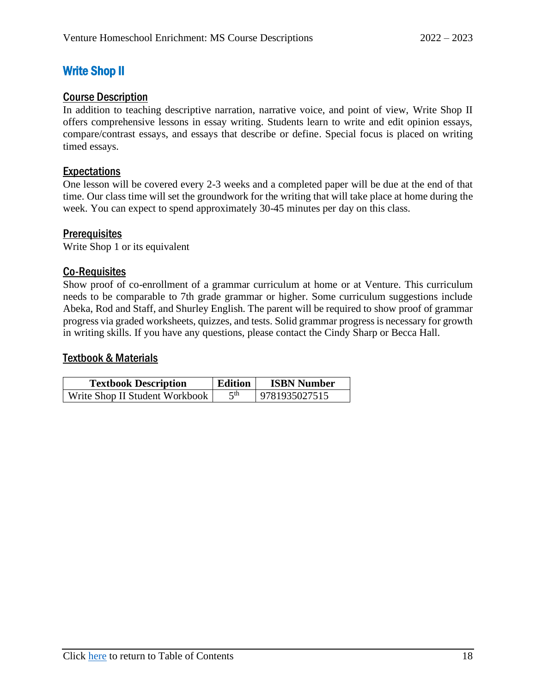## <span id="page-21-0"></span>Write Shop II

### <span id="page-21-1"></span>Course Description

In addition to teaching descriptive narration, narrative voice, and point of view, Write Shop II offers comprehensive lessons in essay writing. Students learn to write and edit opinion essays, compare/contrast essays, and essays that describe or define. Special focus is placed on writing timed essays.

### <span id="page-21-2"></span>Expectations

One lesson will be covered every 2-3 weeks and a completed paper will be due at the end of that time. Our class time will set the groundwork for the writing that will take place at home during the week. You can expect to spend approximately 30-45 minutes per day on this class.

### <span id="page-21-3"></span>**Prerequisites**

Write Shop 1 or its equivalent

### <span id="page-21-4"></span>Co-Requisites

Show proof of co-enrollment of a grammar curriculum at home or at Venture. This curriculum needs to be comparable to 7th grade grammar or higher. Some curriculum suggestions include Abeka, Rod and Staff, and Shurley English. The parent will be required to show proof of grammar progress via graded worksheets, quizzes, and tests. Solid grammar progress is necessary for growth in writing skills. If you have any questions, please contact the Cindy Sharp or Becca Hall.

<span id="page-21-5"></span>

| <b>Textbook Description</b>    | <b>Edition</b> | <b>ISBN Number</b> |
|--------------------------------|----------------|--------------------|
| Write Shop II Student Workbook | ςth            | 9781935027515      |